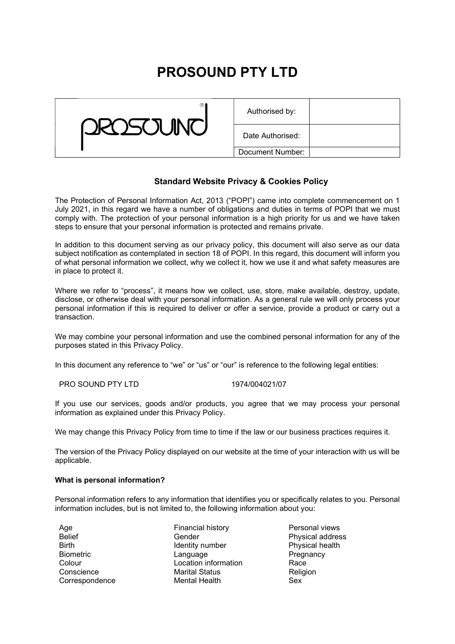# PROSOUND PTY LTD



| Authorised by:   |  |
|------------------|--|
| Date Authorised: |  |
| Document Number: |  |

# Standard Website Privacy & Cookies Policy

The Protection of Personal Information Act, 2013 ("POPI") came into complete commencement on 1 July 2021, in this regard we have a number of obligations and duties in terms of POPI that we must comply with. The protection of your personal information is a high priority for us and we have taken steps to ensure that your personal information is protected and remains private.

In addition to this document serving as our privacy policy, this document will also serve as our data subject notification as contemplated in section 18 of POPI. In this regard, this document will inform you of what personal information we collect, why we collect it, how we use it and what safety measures are in place to protect it.

Where we refer to "process", it means how we collect, use, store, make available, destroy, update, disclose, or otherwise deal with your personal information. As a general rule we will only process your personal information if this is required to deliver or offer a service, provide a product or carry out a transaction.

We may combine your personal information and use the combined personal information for any of the purposes stated in this Privacy Policy.

In this document any reference to "we" or "us" or "our" is reference to the following legal entities:

PRO SOUND PTY LTD 1974/004021/07

If you use our services, goods and/or products, you agree that we may process your personal information as explained under this Privacy Policy.

We may change this Privacy Policy from time to time if the law or our business practices requires it.

The version of the Privacy Policy displayed on our website at the time of your interaction with us will be applicable.

## What is personal information?

Personal information refers to any information that identifies you or specifically relates to you. Personal information includes, but is not limited to, the following information about you:

| Age              | Financial history     | Personal views   |
|------------------|-----------------------|------------------|
| <b>Belief</b>    | Gender                | Physical address |
| <b>Birth</b>     | Identity number       | Physical health  |
| <b>Biometric</b> | Language              | Pregnancy        |
| Colour           | Location information  | Race             |
| Conscience       | <b>Marital Status</b> | Religion         |
| Correspondence   | <b>Mental Health</b>  | <b>Sex</b>       |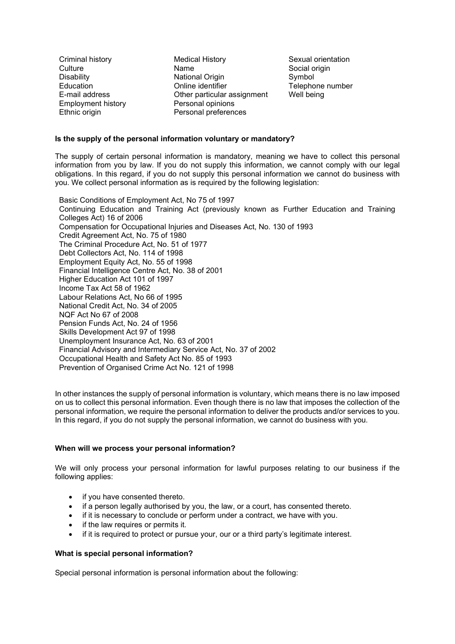Employment history **Personal opinions** 

Criminal history Medical History Sexual orientation Culture **Name** Name Social origin Disability **National Origin** Symbol Symbol Education Online identifier Telephone number E-mail address **Communist Communist Communist Communist Communist Communist Communist Communist Communist Communist Communist Communist Communist Communist Communist Communist Communist Communist Communist Communist Commun** Ethnic origin **Personal preferences** 

## Is the supply of the personal information voluntary or mandatory?

The supply of certain personal information is mandatory, meaning we have to collect this personal information from you by law. If you do not supply this information, we cannot comply with our legal obligations. In this regard, if you do not supply this personal information we cannot do business with you. We collect personal information as is required by the following legislation:

Basic Conditions of Employment Act, No 75 of 1997 Continuing Education and Training Act (previously known as Further Education and Training Colleges Act) 16 of 2006 Compensation for Occupational Injuries and Diseases Act, No. 130 of 1993 Credit Agreement Act, No. 75 of 1980 The Criminal Procedure Act, No. 51 of 1977 Debt Collectors Act, No. 114 of 1998 Employment Equity Act, No. 55 of 1998 Financial Intelligence Centre Act, No. 38 of 2001 Higher Education Act 101 of 1997 Income Tax Act 58 of 1962 Labour Relations Act, No 66 of 1995 National Credit Act, No. 34 of 2005 NQF Act No 67 of 2008 Pension Funds Act, No. 24 of 1956 Skills Development Act 97 of 1998 Unemployment Insurance Act, No. 63 of 2001 Financial Advisory and Intermediary Service Act, No. 37 of 2002 Occupational Health and Safety Act No. 85 of 1993 Prevention of Organised Crime Act No. 121 of 1998

In other instances the supply of personal information is voluntary, which means there is no law imposed on us to collect this personal information. Even though there is no law that imposes the collection of the personal information, we require the personal information to deliver the products and/or services to you. In this regard, if you do not supply the personal information, we cannot do business with you.

## When will we process your personal information?

We will only process your personal information for lawful purposes relating to our business if the following applies:

- if you have consented thereto.
- if a person legally authorised by you, the law, or a court, has consented thereto.
- if it is necessary to conclude or perform under a contract, we have with you.
- if the law requires or permits it.
- if it is required to protect or pursue your, our or a third party's legitimate interest.

## What is special personal information?

Special personal information is personal information about the following: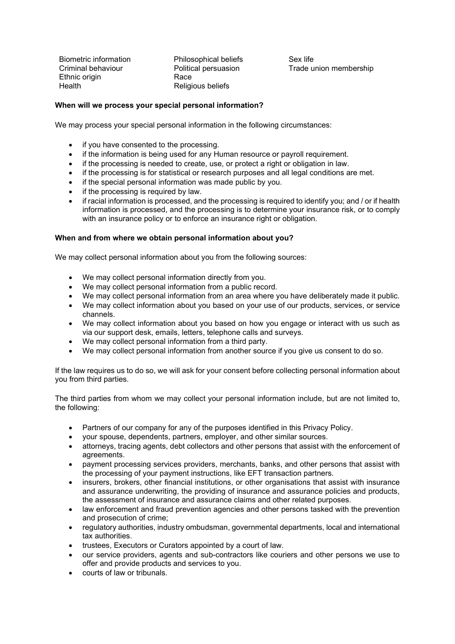Biometric information **Philosophical beliefs** Sex life Ethnic origin **Race** Health Religious beliefs

Criminal behaviour Political persuasion Trade union membership

# When will we process your special personal information?

We may process your special personal information in the following circumstances:

- if you have consented to the processing.
- if the information is being used for any Human resource or payroll requirement.
- if the processing is needed to create, use, or protect a right or obligation in law.
- if the processing is for statistical or research purposes and all legal conditions are met.
- if the special personal information was made public by you.
- if the processing is required by law.
- if racial information is processed, and the processing is required to identify you; and / or if health information is processed, and the processing is to determine your insurance risk, or to comply with an insurance policy or to enforce an insurance right or obligation.

## When and from where we obtain personal information about you?

We may collect personal information about you from the following sources:

- We may collect personal information directly from you.
- We may collect personal information from a public record.
- We may collect personal information from an area where you have deliberately made it public.
- We may collect information about you based on your use of our products, services, or service channels.
- We may collect information about you based on how you engage or interact with us such as via our support desk, emails, letters, telephone calls and surveys.
- We may collect personal information from a third party.
- We may collect personal information from another source if you give us consent to do so.

If the law requires us to do so, we will ask for your consent before collecting personal information about you from third parties.

The third parties from whom we may collect your personal information include, but are not limited to, the following:

- Partners of our company for any of the purposes identified in this Privacy Policy.
- your spouse, dependents, partners, employer, and other similar sources.
- attorneys, tracing agents, debt collectors and other persons that assist with the enforcement of agreements.
- payment processing services providers, merchants, banks, and other persons that assist with the processing of your payment instructions, like EFT transaction partners.
- insurers, brokers, other financial institutions, or other organisations that assist with insurance and assurance underwriting, the providing of insurance and assurance policies and products, the assessment of insurance and assurance claims and other related purposes.
- law enforcement and fraud prevention agencies and other persons tasked with the prevention and prosecution of crime;
- regulatory authorities, industry ombudsman, governmental departments, local and international tax authorities.
- trustees, Executors or Curators appointed by a court of law.
- our service providers, agents and sub-contractors like couriers and other persons we use to offer and provide products and services to you.
- courts of law or tribunals.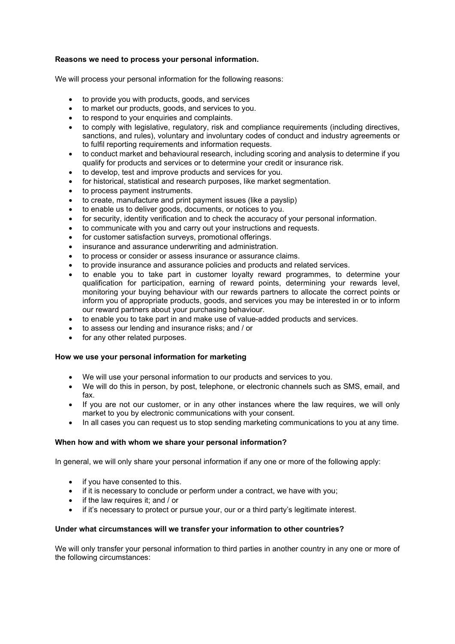## Reasons we need to process your personal information.

We will process your personal information for the following reasons:

- to provide you with products, goods, and services
- to market our products, goods, and services to you.
- to respond to your enquiries and complaints.
- to comply with legislative, regulatory, risk and compliance requirements (including directives, sanctions, and rules), voluntary and involuntary codes of conduct and industry agreements or to fulfil reporting requirements and information requests.
- to conduct market and behavioural research, including scoring and analysis to determine if you qualify for products and services or to determine your credit or insurance risk.
- to develop, test and improve products and services for you.
- for historical, statistical and research purposes, like market segmentation.
- to process payment instruments.
- to create, manufacture and print payment issues (like a payslip)
- to enable us to deliver goods, documents, or notices to you.
- for security, identity verification and to check the accuracy of your personal information.
- to communicate with you and carry out your instructions and requests.
- for customer satisfaction surveys, promotional offerings.
- insurance and assurance underwriting and administration.
- to process or consider or assess insurance or assurance claims.
- to provide insurance and assurance policies and products and related services.
- to enable you to take part in customer loyalty reward programmes, to determine your qualification for participation, earning of reward points, determining your rewards level, monitoring your buying behaviour with our rewards partners to allocate the correct points or inform you of appropriate products, goods, and services you may be interested in or to inform our reward partners about your purchasing behaviour.
- to enable you to take part in and make use of value-added products and services.
- to assess our lending and insurance risks; and / or
- for any other related purposes.

## How we use your personal information for marketing

- We will use your personal information to our products and services to you.
- We will do this in person, by post, telephone, or electronic channels such as SMS, email, and fax.
- If you are not our customer, or in any other instances where the law requires, we will only market to you by electronic communications with your consent.
- In all cases you can request us to stop sending marketing communications to you at any time.

## When how and with whom we share your personal information?

In general, we will only share your personal information if any one or more of the following apply:

- if you have consented to this.
- if it is necessary to conclude or perform under a contract, we have with you;
- if the law requires it; and / or
- if it's necessary to protect or pursue your, our or a third party's legitimate interest.

## Under what circumstances will we transfer your information to other countries?

We will only transfer your personal information to third parties in another country in any one or more of the following circumstances: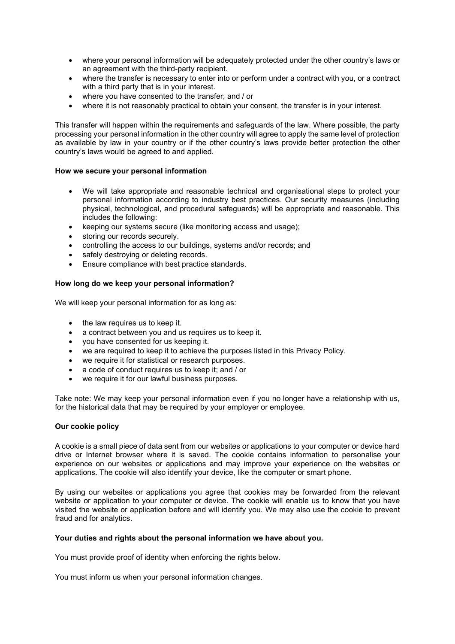- where your personal information will be adequately protected under the other country's laws or an agreement with the third-party recipient.
- where the transfer is necessary to enter into or perform under a contract with you, or a contract with a third party that is in your interest.
- where you have consented to the transfer; and / or
- where it is not reasonably practical to obtain your consent, the transfer is in your interest.

This transfer will happen within the requirements and safeguards of the law. Where possible, the party processing your personal information in the other country will agree to apply the same level of protection as available by law in your country or if the other country's laws provide better protection the other country's laws would be agreed to and applied.

## How we secure your personal information

- We will take appropriate and reasonable technical and organisational steps to protect your personal information according to industry best practices. Our security measures (including physical, technological, and procedural safeguards) will be appropriate and reasonable. This includes the following:
- keeping our systems secure (like monitoring access and usage);
- storing our records securely.
- controlling the access to our buildings, systems and/or records; and
- safely destroying or deleting records.
- Ensure compliance with best practice standards.

## How long do we keep your personal information?

We will keep your personal information for as long as:

- the law requires us to keep it.
- a contract between you and us requires us to keep it.
- you have consented for us keeping it.
- we are required to keep it to achieve the purposes listed in this Privacy Policy.
- we require it for statistical or research purposes.
- a code of conduct requires us to keep it; and / or
- we require it for our lawful business purposes.

Take note: We may keep your personal information even if you no longer have a relationship with us, for the historical data that may be required by your employer or employee.

## Our cookie policy

A cookie is a small piece of data sent from our websites or applications to your computer or device hard drive or Internet browser where it is saved. The cookie contains information to personalise your experience on our websites or applications and may improve your experience on the websites or applications. The cookie will also identify your device, like the computer or smart phone.

By using our websites or applications you agree that cookies may be forwarded from the relevant website or application to your computer or device. The cookie will enable us to know that you have visited the website or application before and will identify you. We may also use the cookie to prevent fraud and for analytics.

## Your duties and rights about the personal information we have about you.

You must provide proof of identity when enforcing the rights below.

You must inform us when your personal information changes.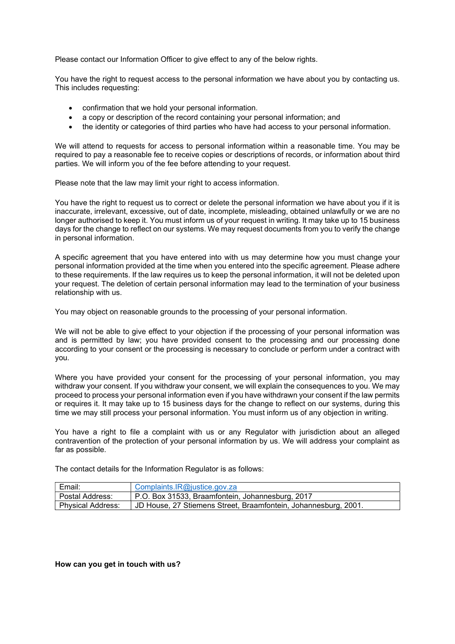Please contact our Information Officer to give effect to any of the below rights.

You have the right to request access to the personal information we have about you by contacting us. This includes requesting:

- confirmation that we hold your personal information.
- a copy or description of the record containing your personal information; and
- the identity or categories of third parties who have had access to your personal information.

We will attend to requests for access to personal information within a reasonable time. You may be required to pay a reasonable fee to receive copies or descriptions of records, or information about third parties. We will inform you of the fee before attending to your request.

Please note that the law may limit your right to access information.

You have the right to request us to correct or delete the personal information we have about you if it is inaccurate, irrelevant, excessive, out of date, incomplete, misleading, obtained unlawfully or we are no longer authorised to keep it. You must inform us of your request in writing. It may take up to 15 business days for the change to reflect on our systems. We may request documents from you to verify the change in personal information.

A specific agreement that you have entered into with us may determine how you must change your personal information provided at the time when you entered into the specific agreement. Please adhere to these requirements. If the law requires us to keep the personal information, it will not be deleted upon your request. The deletion of certain personal information may lead to the termination of your business relationship with us.

You may object on reasonable grounds to the processing of your personal information.

We will not be able to give effect to your objection if the processing of your personal information was and is permitted by law; you have provided consent to the processing and our processing done according to your consent or the processing is necessary to conclude or perform under a contract with you.

Where you have provided your consent for the processing of your personal information, you may withdraw your consent. If you withdraw your consent, we will explain the consequences to you. We may proceed to process your personal information even if you have withdrawn your consent if the law permits or requires it. It may take up to 15 business days for the change to reflect on our systems, during this time we may still process your personal information. You must inform us of any objection in writing.

You have a right to file a complaint with us or any Regulator with jurisdiction about an alleged contravention of the protection of your personal information by us. We will address your complaint as far as possible.

The contact details for the Information Regulator is as follows:

| Email:                   | Complaints.IR@justice.gov.za                                    |
|--------------------------|-----------------------------------------------------------------|
| Postal Address:          | P.O. Box 31533, Braamfontein, Johannesburg, 2017                |
| <b>Physical Address:</b> | JD House, 27 Stiemens Street, Braamfontein, Johannesburg, 2001. |

## How can you get in touch with us?